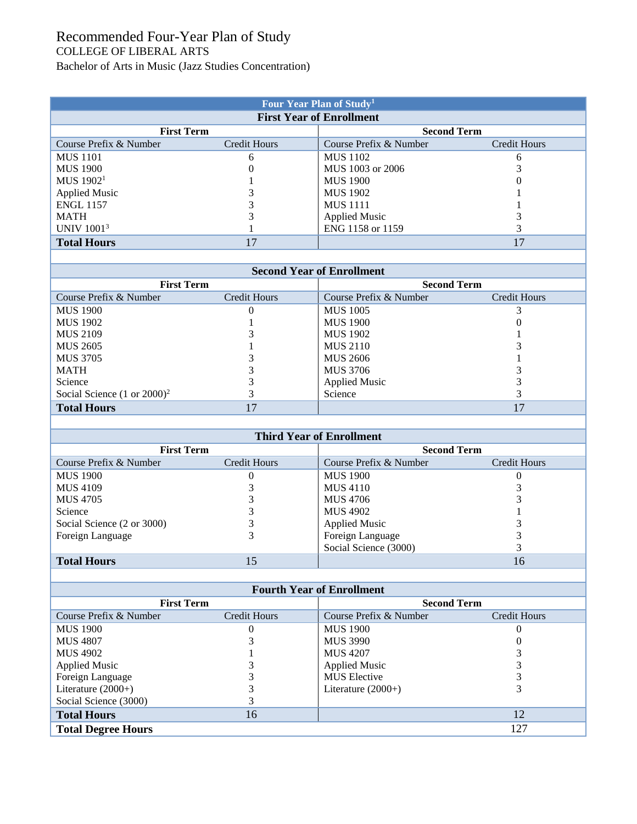## Recommended Four-Year Plan of Study COLLEGE OF LIBERAL ARTS Bachelor of Arts in Music (Jazz Studies Concentration)

| Four Year Plan of Study <sup>1</sup> |                     |                        |              |  |  |  |  |
|--------------------------------------|---------------------|------------------------|--------------|--|--|--|--|
| <b>First Year of Enrollment</b>      |                     |                        |              |  |  |  |  |
| <b>First Term</b>                    |                     | <b>Second Term</b>     |              |  |  |  |  |
| Course Prefix & Number               | <b>Credit Hours</b> | Course Prefix & Number | Credit Hours |  |  |  |  |
| <b>MUS</b> 1101                      | h                   | <b>MUS</b> 1102        |              |  |  |  |  |
| <b>MUS 1900</b>                      |                     | MUS 1003 or 2006       |              |  |  |  |  |
| MUS $19021$                          |                     | <b>MUS 1900</b>        |              |  |  |  |  |
| <b>Applied Music</b>                 |                     | <b>MUS</b> 1902        |              |  |  |  |  |
| <b>ENGL 1157</b>                     |                     | <b>MUS</b> 1111        |              |  |  |  |  |
| <b>MATH</b>                          |                     | <b>Applied Music</b>   |              |  |  |  |  |
| <b>UNIV</b> 1001 <sup>3</sup>        |                     | ENG 1158 or 1159       |              |  |  |  |  |
| <b>Total Hours</b>                   |                     |                        |              |  |  |  |  |

| <b>Second Year of Enrollment</b>        |              |                        |              |  |  |  |
|-----------------------------------------|--------------|------------------------|--------------|--|--|--|
| <b>First Term</b>                       |              | <b>Second Term</b>     |              |  |  |  |
| Course Prefix & Number                  | Credit Hours | Course Prefix & Number | Credit Hours |  |  |  |
| <b>MUS 1900</b>                         | O            | <b>MUS</b> 1005        |              |  |  |  |
| MUS 1902                                |              | <b>MUS</b> 1900        | U            |  |  |  |
| MUS 2109                                |              | <b>MUS 1902</b>        |              |  |  |  |
| MUS 2605                                |              | <b>MUS 2110</b>        |              |  |  |  |
| <b>MUS 3705</b>                         |              | <b>MUS 2606</b>        |              |  |  |  |
| <b>MATH</b>                             |              | <b>MUS 3706</b>        |              |  |  |  |
| Science                                 |              | <b>Applied Music</b>   |              |  |  |  |
| Social Science $(1 \text{ or } 2000)^2$ |              | Science                |              |  |  |  |
| <b>Total Hours</b>                      |              |                        | 17           |  |  |  |

| <b>Third Year of Enrollment</b> |                     |                        |                    |  |  |  |
|---------------------------------|---------------------|------------------------|--------------------|--|--|--|
| <b>First Term</b>               |                     |                        | <b>Second Term</b> |  |  |  |
| Course Prefix & Number          | <b>Credit Hours</b> | Course Prefix & Number | Credit Hours       |  |  |  |
| <b>MUS 1900</b>                 |                     | <b>MUS</b> 1900        |                    |  |  |  |
| <b>MUS 4109</b>                 |                     | <b>MUS 4110</b>        |                    |  |  |  |
| MUS 4705                        |                     | MUS 4706               |                    |  |  |  |
| Science                         |                     | <b>MUS 4902</b>        |                    |  |  |  |
| Social Science (2 or 3000)      |                     | <b>Applied Music</b>   |                    |  |  |  |
| Foreign Language                |                     | Foreign Language       |                    |  |  |  |
|                                 |                     | Social Science (3000)  |                    |  |  |  |
| <b>Total Hours</b>              | 15                  |                        | 16                 |  |  |  |

| <b>Fourth Year of Enrollment</b> |              |                        |                     |  |  |  |
|----------------------------------|--------------|------------------------|---------------------|--|--|--|
| <b>First Term</b>                |              | <b>Second Term</b>     |                     |  |  |  |
| Course Prefix & Number           | Credit Hours | Course Prefix & Number | <b>Credit Hours</b> |  |  |  |
| <b>MUS 1900</b>                  | O            | <b>MUS</b> 1900        |                     |  |  |  |
| <b>MUS 4807</b>                  |              | <b>MUS 3990</b>        |                     |  |  |  |
| MUS 4902                         |              | <b>MUS 4207</b>        |                     |  |  |  |
| <b>Applied Music</b>             |              | <b>Applied Music</b>   |                     |  |  |  |
| Foreign Language                 |              | <b>MUS</b> Elective    |                     |  |  |  |
| Literature $(2000+)$             |              | Literature $(2000+)$   |                     |  |  |  |
| Social Science (3000)            |              |                        |                     |  |  |  |
| <b>Total Hours</b>               | 16           |                        | 12                  |  |  |  |
| <b>Total Degree Hours</b>        |              |                        | 127                 |  |  |  |